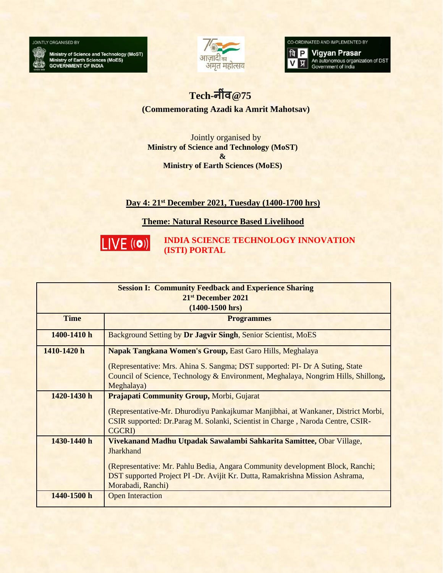

Ministry of Science and Technology (MoST)<br>Ministry of Earth Sciences (MoES)<br>GOVERNMENT OF INDIA



CO-ORDINATED AND IMPLEMENTED BY

**q P** Vigyan Prasar<br>V **U** An autonomous organization of DST प्र| Government of India

## $Tech - 75$

**(Commemorating Azadi ka Amrit Mahotsav)**

Jointly organised by **Ministry of Science and Technology (MoST) & Ministry of Earth Sciences (MoES)**

## **Day 4: 21st December 2021, Tuesday (1400-1700 hrs)**

**Theme: Natural Resource Based Livelihood**



**INDIA SCIENCE TECHNOLOGY INNOVATION (ISTI) PORTAL**

| <b>Session I: Community Feedback and Experience Sharing</b> |                                                                                   |  |
|-------------------------------------------------------------|-----------------------------------------------------------------------------------|--|
| 21 <sup>st</sup> December 2021                              |                                                                                   |  |
| $(1400-1500$ hrs)                                           |                                                                                   |  |
| <b>Time</b>                                                 | <b>Programmes</b>                                                                 |  |
| 1400-1410 h                                                 | Background Setting by Dr Jagvir Singh, Senior Scientist, MoES                     |  |
| 1410-1420 h                                                 | Napak Tangkana Women's Group, East Garo Hills, Meghalaya                          |  |
|                                                             | (Representative: Mrs. Ahina S. Sangma; DST supported: PI- Dr A Suting, State      |  |
|                                                             | Council of Science, Technology & Environment, Meghalaya, Nongrim Hills, Shillong, |  |
|                                                             | Meghalaya)                                                                        |  |
| 1420-1430 h                                                 | <b>Prajapati Community Group, Morbi, Gujarat</b>                                  |  |
|                                                             | (Representative-Mr. Dhurodiyu Pankajkumar Manjibhai, at Wankaner, District Morbi, |  |
|                                                             | CSIR supported: Dr.Parag M. Solanki, Scientist in Charge, Naroda Centre, CSIR-    |  |
|                                                             | <b>CGCRI</b> )                                                                    |  |
| 1430-1440 h                                                 | Vivekanand Madhu Utpadak Sawalambi Sahkarita Samittee, Obar Village,              |  |
|                                                             | <b>Jharkhand</b>                                                                  |  |
|                                                             | (Representative: Mr. Pahlu Bedia, Angara Community development Block, Ranchi;     |  |
|                                                             | DST supported Project PI -Dr. Avijit Kr. Dutta, Ramakrishna Mission Ashrama,      |  |
|                                                             | Morabadi, Ranchi)                                                                 |  |
| 1440-1500 h                                                 | <b>Open Interaction</b>                                                           |  |
|                                                             |                                                                                   |  |